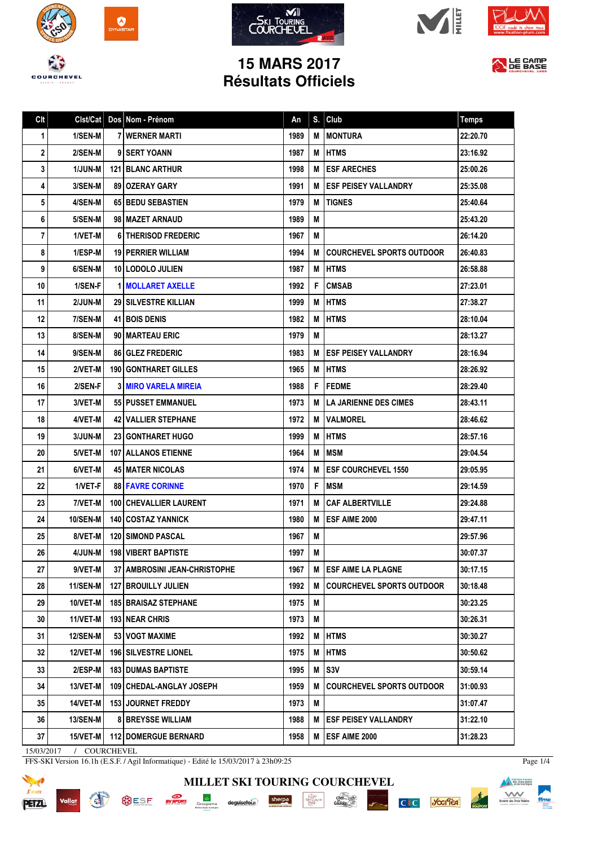









LE CAMP

## **15 MARS 2017 Résultats Officiels**

| Clt  | Clst/Cat        | Dos Nom - Prénom                      | An   | S. | Club                             | <b>Temps</b> |
|------|-----------------|---------------------------------------|------|----|----------------------------------|--------------|
| 1    | 1/SEN-M         | <b>7 I WERNER MARTI</b>               | 1989 | М  | <b>MONTURA</b>                   | 22:20.70     |
| 2    | 2/SEN-M         | 9 I SERT YOANN                        | 1987 | M  | <b>IHTMS</b>                     | 23:16.92     |
| 3    | 1/JUN-M         | <b>121 BLANC ARTHUR</b>               | 1998 | М  | <b>ESF ARECHES</b>               | 25:00.26     |
| 4    | 3/SEN-M         | 891 OZERAY GARY                       | 1991 | М  | <b>ESF PEISEY VALLANDRY</b>      | 25:35.08     |
| 5    | 4/SEN-M         | <b>65 BEDU SEBASTIEN</b>              | 1979 | M  | <b>TIGNES</b>                    | 25:40.64     |
| 6    | 5/SEN-M         | 98 MAZET ARNAUD                       | 1989 | M  |                                  | 25:43.20     |
| 7    | 1/VET-M         | <b>61 THERISOD FREDERIC</b>           | 1967 | M  |                                  | 26:14.20     |
| 8    | 1/ESP-M         | <b>19   PERRIER WILLIAM</b>           | 1994 | М  | COURCHEVEL SPORTS OUTDOOR        | 26:40.83     |
| 9    | 6/SEN-M         | 10 LODOLO JULIEN                      | 1987 | М  | <b>IHTMS</b>                     | 26:58.88     |
| 10   | 1/SEN-F         | <b>1 MOLLARET AXELLE</b>              | 1992 | F  | <b>CMSAB</b>                     | 27:23.01     |
| 11   | 2/JUN-M         | <b>29 SILVESTRE KILLIAN</b>           | 1999 | M  | <b>IHTMS</b>                     | 27:38.27     |
| 12   | 7/SEN-M         | <b>41 BOIS DENIS</b>                  | 1982 | M  | <b>HTMS</b>                      | 28:10.04     |
| 13   | 8/SEN-M         | 90 MARTEAU ERIC                       | 1979 | M  |                                  | 28:13.27     |
| 14   | 9/SEN-M         | <b>86 GLEZ FREDERIC</b>               | 1983 | м  | <b>ESF PEISEY VALLANDRY</b>      | 28:16.94     |
| 15   | 2/VET-M         | <b>190   GONTHARET GILLES</b>         | 1965 | M  | <b>HTMS</b>                      | 28:26.92     |
| 16   | 2/SEN-F         | <b>3 MIRO VARELA MIREIA</b>           | 1988 | F. | <b>FEDME</b>                     | 28:29.40     |
| 17   | 3/VET-M         | 551 PUSSET EMMANUEL                   | 1973 | М  | <b>ILA JARIENNE DES CIMES</b>    | 28:43.11     |
| 18   | 4/VET-M         | <b>42 VALLIER STEPHANE</b>            | 1972 | М  | <b>VALMOREL</b>                  | 28:46.62     |
| 19   | 3/JUN-M         | <b>23   GONTHARET HUGO</b>            | 1999 | M  | <b>IHTMS</b>                     | 28:57.16     |
| 20   | 5/VET-M         | <b>107   ALLANOS ETIENNE</b>          | 1964 | M  | <b>IMSM</b>                      | 29:04.54     |
| 21   | 6/VET-M         | <b>45 I MATER NICOLAS</b>             | 1974 | M  | <b>IESF COURCHEVEL 1550</b>      | 29:05.95     |
| 22   | 1/VET-F         | <b>88 FAVRE CORINNE</b>               | 1970 | F  | <b>MSM</b>                       | 29:14.59     |
| 23   | 7/VET-M         | 100 CHEVALLIER LAURENT                | 1971 | M  | <b>CAF ALBERTVILLE</b>           | 29:24.88     |
| 24   | <b>10/SEN-M</b> | <b>140 COSTAZ YANNICK</b>             | 1980 | M  | <b>ESF AIME 2000</b>             | 29:47.11     |
| 25   | 8/VET-M         | <b>120 I SIMOND PASCAL</b>            | 1967 | M  |                                  | 29:57.96     |
| 26 I | 4/JUN-M         | <b>198 VIBERT BAPTISTE</b>            | 1997 | M  |                                  | 30:07.37     |
| 27   | 9/VET-M         | <b>37   AMBROSINI JEAN-CHRISTOPHE</b> | 1967 | М  | <b>ESF AIME LA PLAGNE</b>        | 30:17.15     |
| 28   | 11/SEN-M        | <b>127 BROUILLY JULIEN</b>            | 1992 | М  | <b>COURCHEVEL SPORTS OUTDOOR</b> | 30:18.48     |
| 29   | 10/VET-M        | <b>185   BRAISAZ STEPHANE</b>         | 1975 | M  |                                  | 30:23.25     |
| 30   | 11/VET-M        | 193 NEAR CHRIS                        | 1973 | M  |                                  | 30:26.31     |
| 31   | <b>12/SEN-M</b> | <b>53 I VOGT MAXIME</b>               | 1992 | Μ  | <b>HTMS</b>                      | 30:30.27     |
| 32   | 12/VET-M        | <b>196   SILVESTRE LIONEL</b>         | 1975 | M  | <b>HTMS</b>                      | 30:50.62     |
| 33   | 2/ESP-M         | <b>183 I DUMAS BAPTISTE</b>           | 1995 | M  | <b>S3V</b>                       | 30:59.14     |
| 34   | 13/VET-M        | 109   CHEDAL-ANGLAY JOSEPH            | 1959 | M  | <b>COURCHEVEL SPORTS OUTDOOR</b> | 31:00.93     |
| 35   | 14/VET-M        | 153 JOURNET FREDDY                    | 1973 | M  |                                  | 31:07.47     |
| 36   | <b>13/SEN-M</b> | <b>8 BREYSSE WILLIAM</b>              | 1988 | M  | <b>ESF PEISEY VALLANDRY</b>      | 31:22.10     |
| 37   | 15/VET-M        | <b>112 DOMERGUE BERNARD</b>           | 1958 | М  | <b>ESF AIME 2000</b>             | 31:28.23     |
|      |                 |                                       |      |    |                                  |              |

**MILLET SKI TOURING COURCHEVEL**

 $\cdot \underbrace{ \underset{P \in \mathbf{R}^1}{\underset{P \in \mathbf{R}^1}{\underset{P \in \mathbf{R}^1}{\underset{P \in \mathbf{R}^2}{\underset{P \in \mathbf{R}^2}}}}}_{\text{Max}}$ 

15/03/2017 / COURCHEVEL

Vallat

**READ** 

FFS-SKI Version 16.1h (E.S.F. / Agil Informatique) - Edité le 15/03/2017 à 23h09:25

SESE **EVERENT** Groupama deguisetoi. Sherpa



Page 1/4

**Execution franceire**<br> **Execution des clubs alpins**<br> **Execution de montagne**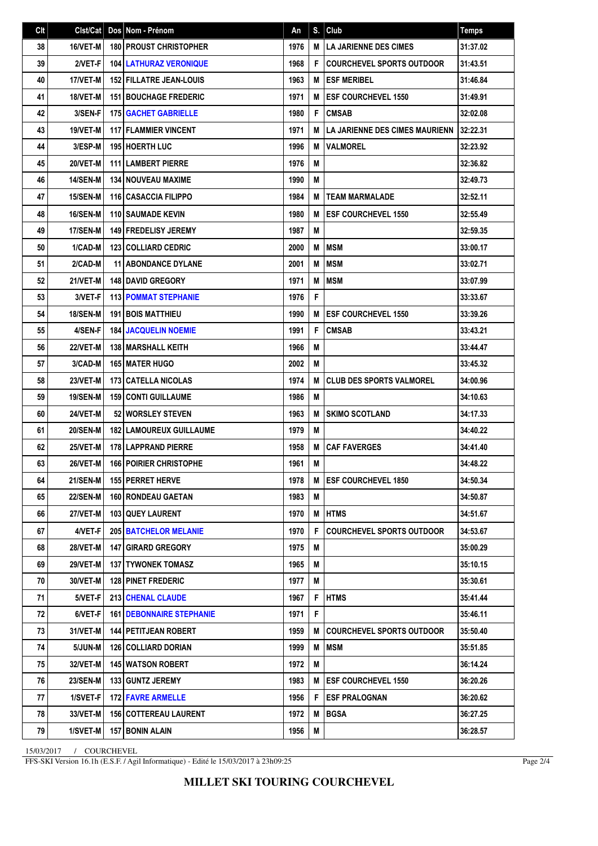| Clt | Clst/Cat        | Dos Nom - Prénom                  | An   | S. | Club                                  | <b>Temps</b> |
|-----|-----------------|-----------------------------------|------|----|---------------------------------------|--------------|
| 38  | 16/VET-M        | <b>180 PROUST CHRISTOPHER</b>     | 1976 | M  | LA JARIENNE DES CIMES                 | 31:37.02     |
| 39  | 2/VET-F         | <b>104 LATHURAZ VERONIQUE</b>     | 1968 | F  | <b>COURCHEVEL SPORTS OUTDOOR</b>      | 31:43.51     |
| 40  | 17/VET-M        | <b>152 FILLATRE JEAN-LOUIS</b>    | 1963 | М  | <b>ESF MERIBEL</b>                    | 31:46.84     |
| 41  | 18/VET-M        | <b>151 BOUCHAGE FREDERIC</b>      | 1971 | M  | <b>ESF COURCHEVEL 1550</b>            | 31:49.91     |
| 42  | 3/SEN-F         | <b>175 GACHET GABRIELLE</b>       | 1980 | F  | <b>CMSAB</b>                          | 32:02.08     |
| 43  | 19/VET-M        | <b>117 FLAMMIER VINCENT</b>       | 1971 | M  | <b>LA JARIENNE DES CIMES MAURIENN</b> | 32:22.31     |
| 44  | 3/ESP-M         | <b>195 HOERTH LUC</b>             | 1996 | M  | <b>VALMOREL</b>                       | 32:23.92     |
| 45  | 20/VET-M        | <b>111 LAMBERT PIERRE</b>         | 1976 | M  |                                       | 32:36.82     |
| 46  | <b>14/SEN-M</b> | <b>134 I NOUVEAU MAXIME</b>       | 1990 | M  |                                       | 32:49.73     |
| 47  | <b>15/SEN-M</b> | 116 CASACCIA FILIPPO              | 1984 | M  | <b>TEAM MARMALADE</b>                 | 32:52.11     |
| 48  | 16/SEN-M        | <b>110 SAUMADE KEVIN</b>          | 1980 | М  | <b>ESF COURCHEVEL 1550</b>            | 32:55.49     |
| 49  | <b>17/SEN-M</b> | 149 FREDELISY JEREMY              | 1987 | M  |                                       | 32:59.35     |
| 50  | 1/CAD-M         | <b>123 COLLIARD CEDRIC</b>        | 2000 | M  | <b>MSM</b>                            | 33:00.17     |
| 51  | 2/CAD-M         | <b>11 ABONDANCE DYLANE</b>        | 2001 | M  | <b>MSM</b>                            | 33:02.71     |
| 52  | 21/VET-M        | <b>148 DAVID GREGORY</b>          | 1971 | M  | <b>IMSM</b>                           | 33:07.99     |
| 53  | 3/VET-F         | <b>113 POMMAT STEPHANIE</b>       | 1976 | F  |                                       | 33:33.67     |
| 54  | <b>18/SEN-M</b> | <b>191 BOIS MATTHIEU</b>          | 1990 | M  | <b>ESF COURCHEVEL 1550</b>            | 33:39.26     |
| 55  | 4/SEN-F         | <b>184 JACQUELIN NOEMIE</b>       | 1991 | F  | <b>CMSAB</b>                          | 33:43.21     |
| 56  | 22/VET-M        | <b>138 MARSHALL KEITH</b>         | 1966 | M  |                                       | 33:44.47     |
| 57  | 3/CAD-M         | <b>165 MATER HUGO</b>             | 2002 | M  |                                       | 33:45.32     |
| 58  | 23/VET-M        | <b>173 CATELLA NICOLAS</b>        | 1974 | M  | <b>CLUB DES SPORTS VALMOREL</b>       | 34:00.96     |
| 59  | <b>19/SEN-M</b> | <b>159 CONTI GUILLAUME</b>        | 1986 | M  |                                       | 34:10.63     |
| 60  | 24/VET-M        | 52 WORSLEY STEVEN                 | 1963 | M  | <b>SKIMO SCOTLAND</b>                 | 34:17.33     |
| 61  | <b>20/SEN-M</b> | <b>182 LAMOUREUX GUILLAUME</b>    | 1979 | M  |                                       | 34:40.22     |
| 62  | 25/VET-M        | 178 LAPPRAND PIERRE               | 1958 | M  | <b>CAF FAVERGES</b>                   | 34:41.40     |
| 63  | 26/VET-M        | <b>166 POIRIER CHRISTOPHE</b>     | 1961 | M  |                                       | 34:48.22     |
| 64  | 21/SEN-M        | 155 PERRET HERVE                  | 1978 | M  | <b>ESF COURCHEVEL 1850</b>            | 34:50.34     |
| 65  | <b>22/SEN-M</b> | <b>160 RONDEAU GAETAN</b>         | 1983 | М  |                                       | 34:50.87     |
| 66  | 27/VET-M        | 103 QUEY LAURENT                  | 1970 | M  | <b>HTMS</b>                           | 34:51.67     |
| 67  | 4/VET-F         | <b>205   BATCHELOR MELANIE</b>    | 1970 | F  | <b>COURCHEVEL SPORTS OUTDOOR</b>      | 34:53.67     |
| 68  | 28/VET-M        | <b>147   GIRARD GREGORY</b>       | 1975 | M  |                                       | 35:00.29     |
| 69  | <b>29/VET-M</b> | <b>137 I TYWONEK TOMASZ</b>       | 1965 | M  |                                       | 35:10.15     |
| 70  | 30/VET-M        | <b>128 PINET FREDERIC</b>         | 1977 | M  |                                       | 35:30.61     |
| 71  | 5/VET-F         | 213 CHENAL CLAUDE                 | 1967 | F  | <b>HTMS</b>                           | 35:41.44     |
| 72  | 6/VET-F         | <b>161   DEBONNAIRE STEPHANIE</b> | 1971 | F  |                                       | 35:46.11     |
| 73  | 31/VET-M        | 144 PETITJEAN ROBERT              | 1959 | М  | <b>COURCHEVEL SPORTS OUTDOOR</b>      | 35:50.40     |
| 74  | 5/JUN-M         | <b>126 COLLIARD DORIAN</b>        | 1999 | M  | <b>MSM</b>                            | 35:51.85     |
| 75  | 32/VET-M        | 145 WATSON ROBERT                 | 1972 | M  |                                       | 36:14.24     |
| 76  | <b>23/SEN-M</b> | 133 GUNTZ JEREMY                  | 1983 | М  | <b>IESF COURCHEVEL 1550</b>           | 36:20.26     |
| 77  | 1/SVET-F        | 172 FAVRE ARMELLE                 | 1956 | F. | <b>ESF PRALOGNAN</b>                  | 36:20.62     |
| 78  | 33/VET-M        | <b>156   COTTEREAU LAURENT</b>    | 1972 | M  | <b>BGSA</b>                           | 36:27.25     |
| 79  | 1/SVET-M        | 157 BONIN ALAIN                   | 1956 | M  |                                       | 36:28.57     |

15/03/2017 / COURCHEVEL

FFS-SKI Version 16.1h (E.S.F. / Agil Informatique) - Edité le 15/03/2017 à 23h09:25

Page 2/4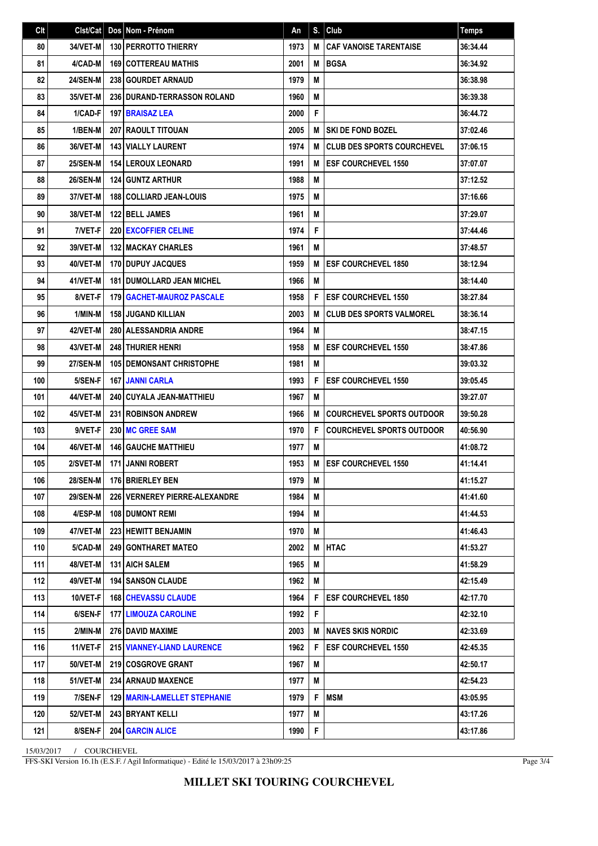| Clt | Clst/Cat        | Dos Nom - Prénom                    | An   | S. | Club                              | <b>Temps</b> |
|-----|-----------------|-------------------------------------|------|----|-----------------------------------|--------------|
| 80  | 34/VET-M        | <b>130   PERROTTO THIERRY</b>       | 1973 | M  | <b>CAF VANOISE TARENTAISE</b>     | 36:34.44     |
| 81  | 4/CAD-M         | <b>169   COTTEREAU MATHIS</b>       | 2001 | M  | <b>BGSA</b>                       | 36:34.92     |
| 82  | <b>24/SEN-M</b> | <b>238 GOURDET ARNAUD</b>           | 1979 | M  |                                   | 36:38.98     |
| 83  | 35/VET-M        | <b>236 DURAND-TERRASSON ROLAND</b>  | 1960 | M  |                                   | 36:39.38     |
| 84  | 1/CAD-F         | <b>197 BRAISAZ LEA</b>              | 2000 | F  |                                   | 36:44.72     |
| 85  | 1/BEN-M         | <b>207 RAOULT TITOUAN</b>           | 2005 | M  | <b>SKI DE FOND BOZEL</b>          | 37:02.46     |
| 86  | 36/VET-M        | <b>143 VIALLY LAURENT</b>           | 1974 | М  | <b>CLUB DES SPORTS COURCHEVEL</b> | 37:06.15     |
| 87  | <b>25/SEN-M</b> | <b>154 LEROUX LEONARD</b>           | 1991 | M  | <b>ESF COURCHEVEL 1550</b>        | 37:07.07     |
| 88  | <b>26/SEN-M</b> | <b>124 GUNTZ ARTHUR</b>             | 1988 | M  |                                   | 37:12.52     |
| 89  | 37/VET-M        | <b>188 COLLIARD JEAN-LOUIS</b>      | 1975 | M  |                                   | 37:16.66     |
| 90  | 38/VET-M        | <b>122 BELL JAMES</b>               | 1961 | M  |                                   | 37:29.07     |
| 91  | 7/VET-F         | 220 EXCOFFIER CELINE                | 1974 | F  |                                   | 37:44.46     |
| 92  | 39/VET-M        | <b>132 MACKAY CHARLES</b>           | 1961 | M  |                                   | 37:48.57     |
| 93  | 40/VET-M        | 170 DUPUY JACQUES                   | 1959 | М  | <b>ESF COURCHEVEL 1850</b>        | 38:12.94     |
| 94  | 41/VET-M        | <b>181 DUMOLLARD JEAN MICHEL</b>    | 1966 | M  |                                   | 38:14.40     |
| 95  | 8/VET-F         | 179   GACHET-MAUROZ PASCALE         | 1958 | F  | <b>ESF COURCHEVEL 1550</b>        | 38:27.84     |
| 96  | 1/MIN-M         | <b>158 JUGAND KILLIAN</b>           | 2003 | M  | <b>CLUB DES SPORTS VALMOREL</b>   | 38:36.14     |
| 97  | 42/VET-M        | 280 ALESSANDRIA ANDRE               | 1964 | M  |                                   | 38:47.15     |
| 98  | 43/VET-M        | <b>248 THURIER HENRI</b>            | 1958 | M  | <b>ESF COURCHEVEL 1550</b>        | 38:47.86     |
| 99  | <b>27/SEN-M</b> | <b>105 I DEMONSANT CHRISTOPHE</b>   | 1981 | M  |                                   | 39:03.32     |
| 100 | 5/SEN-F         | <b>167 JANNI CARLA</b>              | 1993 | F  | <b>ESF COURCHEVEL 1550</b>        | 39:05.45     |
| 101 | 44/VET-M        | 240   CUYALA JEAN-MATTHIEU          | 1967 | M  |                                   | 39:27.07     |
| 102 | 45/VET-M        | <b>231 ROBINSON ANDREW</b>          | 1966 | M  | <b>COURCHEVEL SPORTS OUTDOOR</b>  | 39:50.28     |
| 103 | 9/VET-F         | 230 MC GREE SAM                     | 1970 | F  | <b>COURCHEVEL SPORTS OUTDOOR</b>  | 40:56.90     |
| 104 | 46/VET-M        | <b>146 GAUCHE MATTHIEU</b>          | 1977 | M  |                                   | 41:08.72     |
| 105 | 2/SVET-M        | 171 JANNI ROBERT                    | 1953 | M  | <b>ESF COURCHEVEL 1550</b>        | 41:14.41     |
| 106 | 28/SEN-M        | 176 BRIERLEY BEN                    | 1979 | Μ  |                                   | 41:15.27     |
| 107 | <b>29/SEN-M</b> | 226   VERNEREY PIERRE-ALEXANDRE     | 1984 | M  |                                   | 41:41.60     |
| 108 | 4/ESP-M         | <b>108 DUMONT REMI</b>              | 1994 | M  |                                   | 41:44.53     |
| 109 | 47/VET-M        | <b>223 HEWITT BENJAMIN</b>          | 1970 | M  |                                   | 41:46.43     |
| 110 | 5/CAD-M         | 249 GONTHARET MATEO                 | 2002 | M  | <b>HTAC</b>                       | 41:53.27     |
| 111 | 48/VET-M        | <b>131 AICH SALEM</b>               | 1965 | M  |                                   | 41:58.29     |
| 112 | 49/VET-M        | <b>194   SANSON CLAUDE</b>          | 1962 | M  |                                   | 42:15.49     |
| 113 | 10/VET-F        | <b>168 CHEVASSU CLAUDE</b>          | 1964 | F  | <b>ESF COURCHEVEL 1850</b>        | 42:17.70     |
| 114 | 6/SEN-F         | <b>177   LIMOUZA CAROLINE</b>       | 1992 | F  |                                   | 42:32.10     |
| 115 | 2/MIN-M         | 276 DAVID MAXIME                    | 2003 | M  | <b>NAVES SKIS NORDIC</b>          | 42:33.69     |
| 116 | 11/VET-F        | 215 VIANNEY-LIAND LAURENCE          | 1962 | F  | <b>ESF COURCHEVEL 1550</b>        | 42:45.35     |
| 117 | 50/VET-M        | 219 COSGROVE GRANT                  | 1967 | M  |                                   | 42:50.17     |
| 118 | <b>51/VET-M</b> | <b>234   ARNAUD MAXENCE</b>         | 1977 | M  |                                   | 42:54.23     |
| 119 | 7/SEN-F         | <b>129 MARIN-LAMELLET STEPHANIE</b> | 1979 | F  | <b>MSM</b>                        | 43:05.95     |
| 120 | 52/VET-M        | <b>243 BRYANT KELLI</b>             | 1977 | Μ  |                                   | 43:17.26     |
| 121 | 8/SEN-F         | <b>204 GARCIN ALICE</b>             | 1990 | F  |                                   | 43:17.86     |

15/03/2017 / COURCHEVEL

FFS-SKI Version 16.1h (E.S.F. / Agil Informatique) - Edité le 15/03/2017 à 23h09:25

Page 3/4